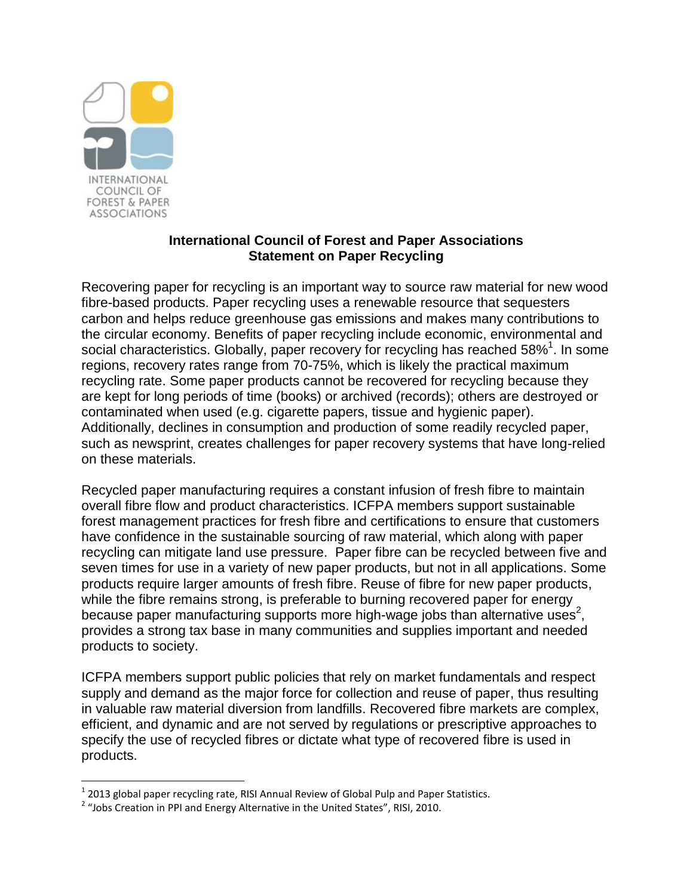

l

## **International Council of Forest and Paper Associations Statement on Paper Recycling**

Recovering paper for recycling is an important way to source raw material for new wood fibre-based products. Paper recycling uses a renewable resource that sequesters carbon and helps reduce greenhouse gas emissions and makes many contributions to the circular economy. Benefits of paper recycling include economic, environmental and social characteristics. Globally, paper recovery for recycling has reached 58%<sup>1</sup>. In some regions, recovery rates range from 70-75%, which is likely the practical maximum recycling rate. Some paper products cannot be recovered for recycling because they are kept for long periods of time (books) or archived (records); others are destroyed or contaminated when used (e.g. cigarette papers, tissue and hygienic paper). Additionally, declines in consumption and production of some readily recycled paper, such as newsprint, creates challenges for paper recovery systems that have long-relied on these materials.

Recycled paper manufacturing requires a constant infusion of fresh fibre to maintain overall fibre flow and product characteristics. ICFPA members support sustainable forest management practices for fresh fibre and certifications to ensure that customers have confidence in the sustainable sourcing of raw material, which along with paper recycling can mitigate land use pressure. Paper fibre can be recycled between five and seven times for use in a variety of new paper products, but not in all applications. Some products require larger amounts of fresh fibre. Reuse of fibre for new paper products, while the fibre remains strong, is preferable to burning recovered paper for energy because paper manufacturing supports more high-wage jobs than alternative uses<sup>2</sup>, provides a strong tax base in many communities and supplies important and needed products to society.

ICFPA members support public policies that rely on market fundamentals and respect supply and demand as the major force for collection and reuse of paper, thus resulting in valuable raw material diversion from landfills. Recovered fibre markets are complex, efficient, and dynamic and are not served by regulations or prescriptive approaches to specify the use of recycled fibres or dictate what type of recovered fibre is used in products.

 $^{1}$  2013 global paper recycling rate, RISI Annual Review of Global Pulp and Paper Statistics.

 $^2$  "Jobs Creation in PPI and Energy Alternative in the United States", RISI, 2010.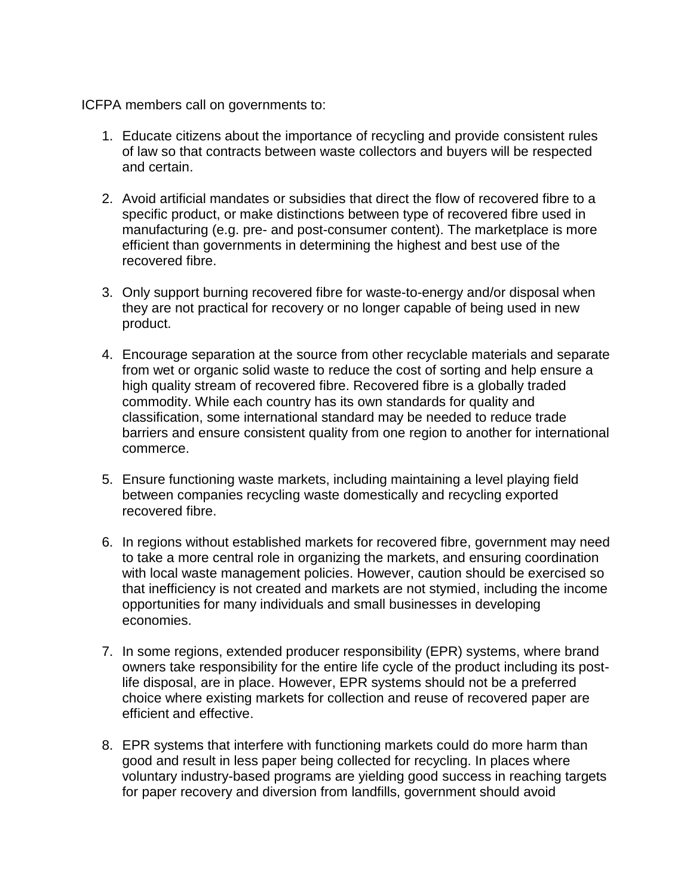ICFPA members call on governments to:

- 1. Educate citizens about the importance of recycling and provide consistent rules of law so that contracts between waste collectors and buyers will be respected and certain.
- 2. Avoid artificial mandates or subsidies that direct the flow of recovered fibre to a specific product, or make distinctions between type of recovered fibre used in manufacturing (e.g. pre- and post-consumer content). The marketplace is more efficient than governments in determining the highest and best use of the recovered fibre.
- 3. Only support burning recovered fibre for waste-to-energy and/or disposal when they are not practical for recovery or no longer capable of being used in new product.
- 4. Encourage separation at the source from other recyclable materials and separate from wet or organic solid waste to reduce the cost of sorting and help ensure a high quality stream of recovered fibre. Recovered fibre is a globally traded commodity. While each country has its own standards for quality and classification, some international standard may be needed to reduce trade barriers and ensure consistent quality from one region to another for international commerce.
- 5. Ensure functioning waste markets, including maintaining a level playing field between companies recycling waste domestically and recycling exported recovered fibre.
- 6. In regions without established markets for recovered fibre, government may need to take a more central role in organizing the markets, and ensuring coordination with local waste management policies. However, caution should be exercised so that inefficiency is not created and markets are not stymied, including the income opportunities for many individuals and small businesses in developing economies.
- 7. In some regions, extended producer responsibility (EPR) systems, where brand owners take responsibility for the entire life cycle of the product including its postlife disposal, are in place. However, EPR systems should not be a preferred choice where existing markets for collection and reuse of recovered paper are efficient and effective.
- 8. EPR systems that interfere with functioning markets could do more harm than good and result in less paper being collected for recycling. In places where voluntary industry-based programs are yielding good success in reaching targets for paper recovery and diversion from landfills, government should avoid